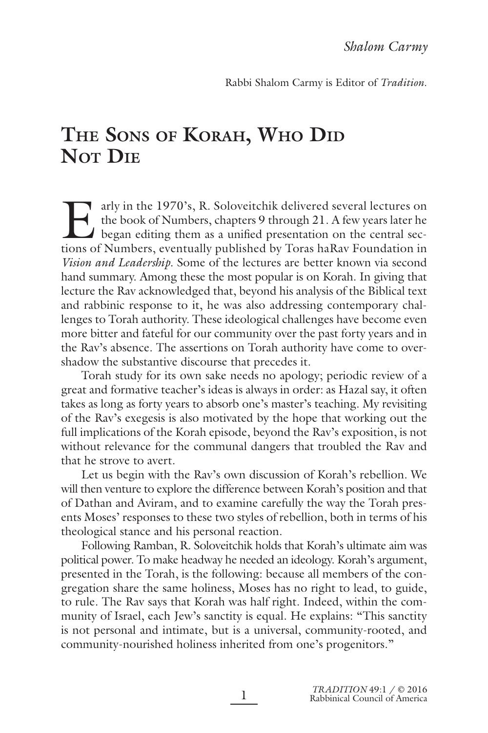Rabbi Shalom Carmy is Editor of *Tradition*.

# **THE SONS OF KORAH, WHO DID NOT DIE**

Early in the 1970's, R. Soloveitchik delivered several lectures on the book of Numbers, chapters 9 through 21. A few years later he began editing them as a unified presentation on the central sections of Numbers, eventuall the book of Numbers, chapters 9 through 21. A few years later he began editing them as a unified presentation on the central sections of Numbers, eventually published by Toras haRav Foundation in *Vision and Leadership*. Some of the lectures are better known via second hand summary. Among these the most popular is on Korah. In giving that lecture the Rav acknowledged that, beyond his analysis of the Biblical text and rabbinic response to it, he was also addressing contemporary challenges to Torah authority. These ideological challenges have become even more bitter and fateful for our community over the past forty years and in the Rav's absence. The assertions on Torah authority have come to overshadow the substantive discourse that precedes it.

Torah study for its own sake needs no apology; periodic review of a great and formative teacher's ideas is always in order: as Hazal say, it often takes as long as forty years to absorb one's master's teaching. My revisiting of the Rav's exegesis is also motivated by the hope that working out the full implications of the Korah episode, beyond the Rav's exposition, is not without relevance for the communal dangers that troubled the Rav and that he strove to avert.

Let us begin with the Rav's own discussion of Korah's rebellion. We will then venture to explore the difference between Korah's position and that of Dathan and Aviram, and to examine carefully the way the Torah presents Moses' responses to these two styles of rebellion, both in terms of his theological stance and his personal reaction.

Following Ramban, R. Soloveitchik holds that Korah's ultimate aim was political power. To make headway he needed an ideology. Korah's argument, presented in the Torah, is the following: because all members of the congregation share the same holiness, Moses has no right to lead, to guide, to rule. The Rav says that Korah was half right. Indeed, within the community of Israel, each Jew's sanctity is equal. He explains: "This sanctity is not personal and intimate, but is a universal, community-rooted, and community-nourished holiness inherited from one's progenitors."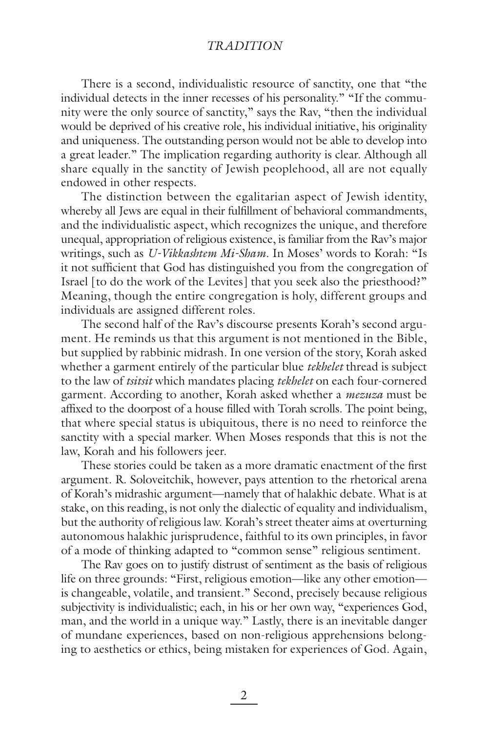# *TRADITION*

There is a second, individualistic resource of sanctity, one that "the individual detects in the inner recesses of his personality." "If the community were the only source of sanctity," says the Rav, "then the individual would be deprived of his creative role, his individual initiative, his originality and uniqueness. The outstanding person would not be able to develop into a great leader." The implication regarding authority is clear. Although all share equally in the sanctity of Jewish peoplehood, all are not equally endowed in other respects.

The distinction between the egalitarian aspect of Jewish identity, whereby all Jews are equal in their fulfillment of behavioral commandments, and the individualistic aspect, which recognizes the unique, and therefore unequal, appropriation of religious existence, is familiar from the Rav's major writings, such as *U-Vikkashtem Mi-Sham*. In Moses' words to Korah: "Is it not sufficient that God has distinguished you from the congregation of Israel [to do the work of the Levites] that you seek also the priesthood?" Meaning, though the entire congregation is holy, different groups and individuals are assigned different roles.

The second half of the Rav's discourse presents Korah's second argument. He reminds us that this argument is not mentioned in the Bible, but supplied by rabbinic midrash. In one version of the story, Korah asked whether a garment entirely of the particular blue *tekhelet* thread is subject to the law of *tsitsit* which mandates placing *tekhelet* on each four-cornered garment. According to another, Korah asked whether a *mezuza* must be affixed to the doorpost of a house filled with Torah scrolls. The point being, that where special status is ubiquitous, there is no need to reinforce the sanctity with a special marker. When Moses responds that this is not the law, Korah and his followers jeer.

These stories could be taken as a more dramatic enactment of the first argument. R. Soloveitchik, however, pays attention to the rhetorical arena of Korah's midrashic argument—namely that of halakhic debate. What is at stake, on this reading, is not only the dialectic of equality and individualism, but the authority of religious law. Korah's street theater aims at overturning autonomous halakhic jurisprudence, faithful to its own principles, in favor of a mode of thinking adapted to "common sense" religious sentiment.

The Rav goes on to justify distrust of sentiment as the basis of religious life on three grounds: "First, religious emotion—like any other emotion is changeable, volatile, and transient." Second, precisely because religious subjectivity is individualistic; each, in his or her own way, "experiences God, man, and the world in a unique way." Lastly, there is an inevitable danger of mundane experiences, based on non-religious apprehensions belonging to aesthetics or ethics, being mistaken for experiences of God. Again,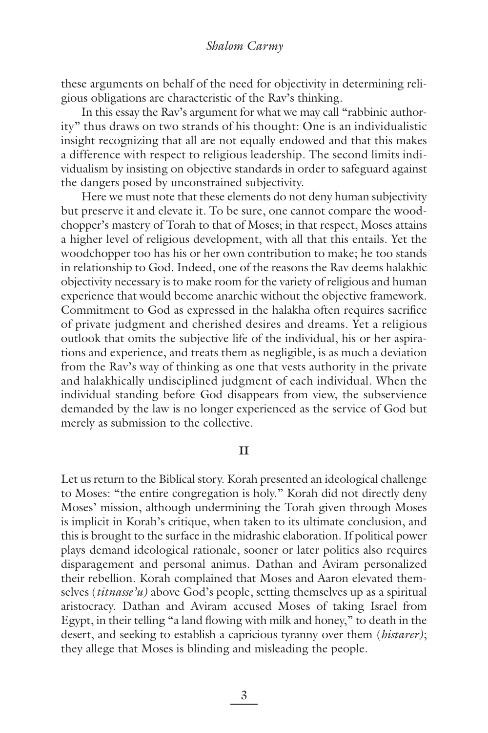these arguments on behalf of the need for objectivity in determining religious obligations are characteristic of the Rav's thinking.

In this essay the Rav's argument for what we may call "rabbinic authority" thus draws on two strands of his thought: One is an individualistic insight recognizing that all are not equally endowed and that this makes a difference with respect to religious leadership. The second limits individualism by insisting on objective standards in order to safeguard against the dangers posed by unconstrained subjectivity.

Here we must note that these elements do not deny human subjectivity but preserve it and elevate it. To be sure, one cannot compare the woodchopper's mastery of Torah to that of Moses; in that respect, Moses attains a higher level of religious development, with all that this entails. Yet the woodchopper too has his or her own contribution to make; he too stands in relationship to God. Indeed, one of the reasons the Rav deems halakhic objectivity necessary is to make room for the variety of religious and human experience that would become anarchic without the objective framework. Commitment to God as expressed in the halakha often requires sacrifice of private judgment and cherished desires and dreams. Yet a religious outlook that omits the subjective life of the individual, his or her aspirations and experience, and treats them as negligible, is as much a deviation from the Rav's way of thinking as one that vests authority in the private and halakhically undisciplined judgment of each individual. When the individual standing before God disappears from view, the subservience demanded by the law is no longer experienced as the service of God but merely as submission to the collective.

### **II**

Let us return to the Biblical story. Korah presented an ideological challenge to Moses: "the entire congregation is holy." Korah did not directly deny Moses' mission, although undermining the Torah given through Moses is implicit in Korah's critique, when taken to its ultimate conclusion, and this is brought to the surface in the midrashic elaboration. If political power plays demand ideological rationale, sooner or later politics also requires disparagement and personal animus. Dathan and Aviram personalized their rebellion. Korah complained that Moses and Aaron elevated themselves (*titnasse'u)* above God's people, setting themselves up as a spiritual aristocracy. Dathan and Aviram accused Moses of taking Israel from Egypt, in their telling "a land flowing with milk and honey," to death in the desert, and seeking to establish a capricious tyranny over them (*histarer)*; they allege that Moses is blinding and misleading the people.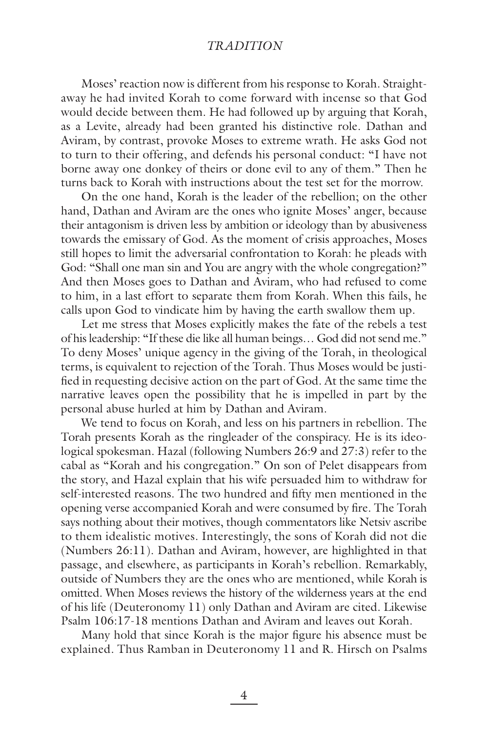# *TRADITION*

Moses' reaction now is different from his response to Korah. Straightaway he had invited Korah to come forward with incense so that God would decide between them. He had followed up by arguing that Korah, as a Levite, already had been granted his distinctive role. Dathan and Aviram, by contrast, provoke Moses to extreme wrath. He asks God not to turn to their offering, and defends his personal conduct: "I have not borne away one donkey of theirs or done evil to any of them." Then he turns back to Korah with instructions about the test set for the morrow.

On the one hand, Korah is the leader of the rebellion; on the other hand, Dathan and Aviram are the ones who ignite Moses' anger, because their antagonism is driven less by ambition or ideology than by abusiveness towards the emissary of God. As the moment of crisis approaches, Moses still hopes to limit the adversarial confrontation to Korah: he pleads with God: "Shall one man sin and You are angry with the whole congregation?" And then Moses goes to Dathan and Aviram, who had refused to come to him, in a last effort to separate them from Korah. When this fails, he calls upon God to vindicate him by having the earth swallow them up.

Let me stress that Moses explicitly makes the fate of the rebels a test of his leadership: "If these die like all human beings… God did not send me." To deny Moses' unique agency in the giving of the Torah, in theological terms, is equivalent to rejection of the Torah. Thus Moses would be justified in requesting decisive action on the part of God. At the same time the narrative leaves open the possibility that he is impelled in part by the personal abuse hurled at him by Dathan and Aviram.

We tend to focus on Korah, and less on his partners in rebellion. The Torah presents Korah as the ringleader of the conspiracy. He is its ideological spokesman. Hazal (following Numbers 26:9 and 27:3) refer to the cabal as "Korah and his congregation." On son of Pelet disappears from the story, and Hazal explain that his wife persuaded him to withdraw for self-interested reasons. The two hundred and fifty men mentioned in the opening verse accompanied Korah and were consumed by fire. The Torah says nothing about their motives, though commentators like Netsiv ascribe to them idealistic motives. Interestingly, the sons of Korah did not die (Numbers 26:11). Dathan and Aviram, however, are highlighted in that passage, and elsewhere, as participants in Korah's rebellion. Remarkably, outside of Numbers they are the ones who are mentioned, while Korah is omitted. When Moses reviews the history of the wilderness years at the end of his life (Deuteronomy 11) only Dathan and Aviram are cited. Likewise Psalm 106:17-18 mentions Dathan and Aviram and leaves out Korah.

Many hold that since Korah is the major figure his absence must be explained. Thus Ramban in Deuteronomy 11 and R. Hirsch on Psalms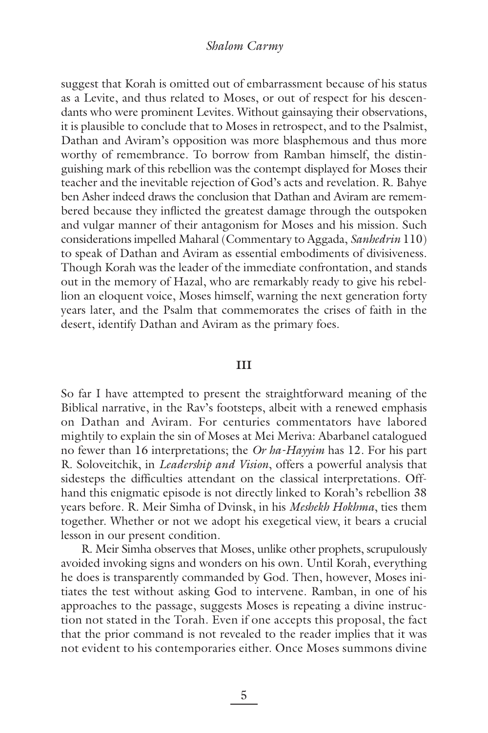## *Shalom Carmy*

suggest that Korah is omitted out of embarrassment because of his status as a Levite, and thus related to Moses, or out of respect for his descendants who were prominent Levites. Without gainsaying their observations, it is plausible to conclude that to Moses in retrospect, and to the Psalmist, Dathan and Aviram's opposition was more blasphemous and thus more worthy of remembrance. To borrow from Ramban himself, the distinguishing mark of this rebellion was the contempt displayed for Moses their teacher and the inevitable rejection of God's acts and revelation. R. Bahye ben Asher indeed draws the conclusion that Dathan and Aviram are remembered because they inflicted the greatest damage through the outspoken and vulgar manner of their antagonism for Moses and his mission. Such considerations impelled Maharal (Commentary to Aggada, *Sanhedrin* 110) to speak of Dathan and Aviram as essential embodiments of divisiveness. Though Korah was the leader of the immediate confrontation, and stands out in the memory of Hazal, who are remarkably ready to give his rebellion an eloquent voice, Moses himself, warning the next generation forty years later, and the Psalm that commemorates the crises of faith in the desert, identify Dathan and Aviram as the primary foes.

#### **III**

So far I have attempted to present the straightforward meaning of the Biblical narrative, in the Rav's footsteps, albeit with a renewed emphasis on Dathan and Aviram. For centuries commentators have labored mightily to explain the sin of Moses at Mei Meriva: Abarbanel catalogued no fewer than 16 interpretations; the *Or ha-Hayyim* has 12. For his part R. Soloveitchik, in *Leadership and Vision*, offers a powerful analysis that sidesteps the difficulties attendant on the classical interpretations. Offhand this enigmatic episode is not directly linked to Korah's rebellion 38 years before. R. Meir Simha of Dvinsk, in his *Meshekh Hokhma*, ties them together. Whether or not we adopt his exegetical view, it bears a crucial lesson in our present condition.

R. Meir Simha observes that Moses, unlike other prophets, scrupulously avoided invoking signs and wonders on his own. Until Korah, everything he does is transparently commanded by God. Then, however, Moses initiates the test without asking God to intervene. Ramban, in one of his approaches to the passage, suggests Moses is repeating a divine instruction not stated in the Torah. Even if one accepts this proposal, the fact that the prior command is not revealed to the reader implies that it was not evident to his contemporaries either. Once Moses summons divine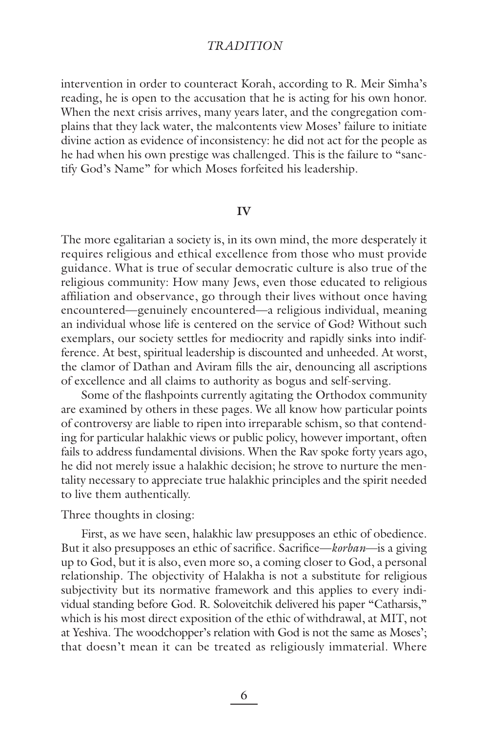# *TRADITION*

intervention in order to counteract Korah, according to R. Meir Simha's reading, he is open to the accusation that he is acting for his own honor. When the next crisis arrives, many years later, and the congregation complains that they lack water, the malcontents view Moses' failure to initiate divine action as evidence of inconsistency: he did not act for the people as he had when his own prestige was challenged. This is the failure to "sanctify God's Name" for which Moses forfeited his leadership.

## **IV**

The more egalitarian a society is, in its own mind, the more desperately it requires religious and ethical excellence from those who must provide guidance. What is true of secular democratic culture is also true of the religious community: How many Jews, even those educated to religious affiliation and observance, go through their lives without once having encountered—genuinely encountered—a religious individual, meaning an individual whose life is centered on the service of God? Without such exemplars, our society settles for mediocrity and rapidly sinks into indifference. At best, spiritual leadership is discounted and unheeded. At worst, the clamor of Dathan and Aviram fills the air, denouncing all ascriptions of excellence and all claims to authority as bogus and self-serving.

Some of the flashpoints currently agitating the Orthodox community are examined by others in these pages. We all know how particular points of controversy are liable to ripen into irreparable schism, so that contending for particular halakhic views or public policy, however important, often fails to address fundamental divisions. When the Rav spoke forty years ago, he did not merely issue a halakhic decision; he strove to nurture the mentality necessary to appreciate true halakhic principles and the spirit needed to live them authentically.

Three thoughts in closing:

First, as we have seen, halakhic law presupposes an ethic of obedience. But it also presupposes an ethic of sacrifice. Sacrifice—*korban*—is a giving up to God, but it is also, even more so, a coming closer to God, a personal relationship. The objectivity of Halakha is not a substitute for religious subjectivity but its normative framework and this applies to every individual standing before God. R. Soloveitchik delivered his paper "Catharsis," which is his most direct exposition of the ethic of withdrawal, at MIT, not at Yeshiva. The woodchopper's relation with God is not the same as Moses'; that doesn't mean it can be treated as religiously immaterial. Where